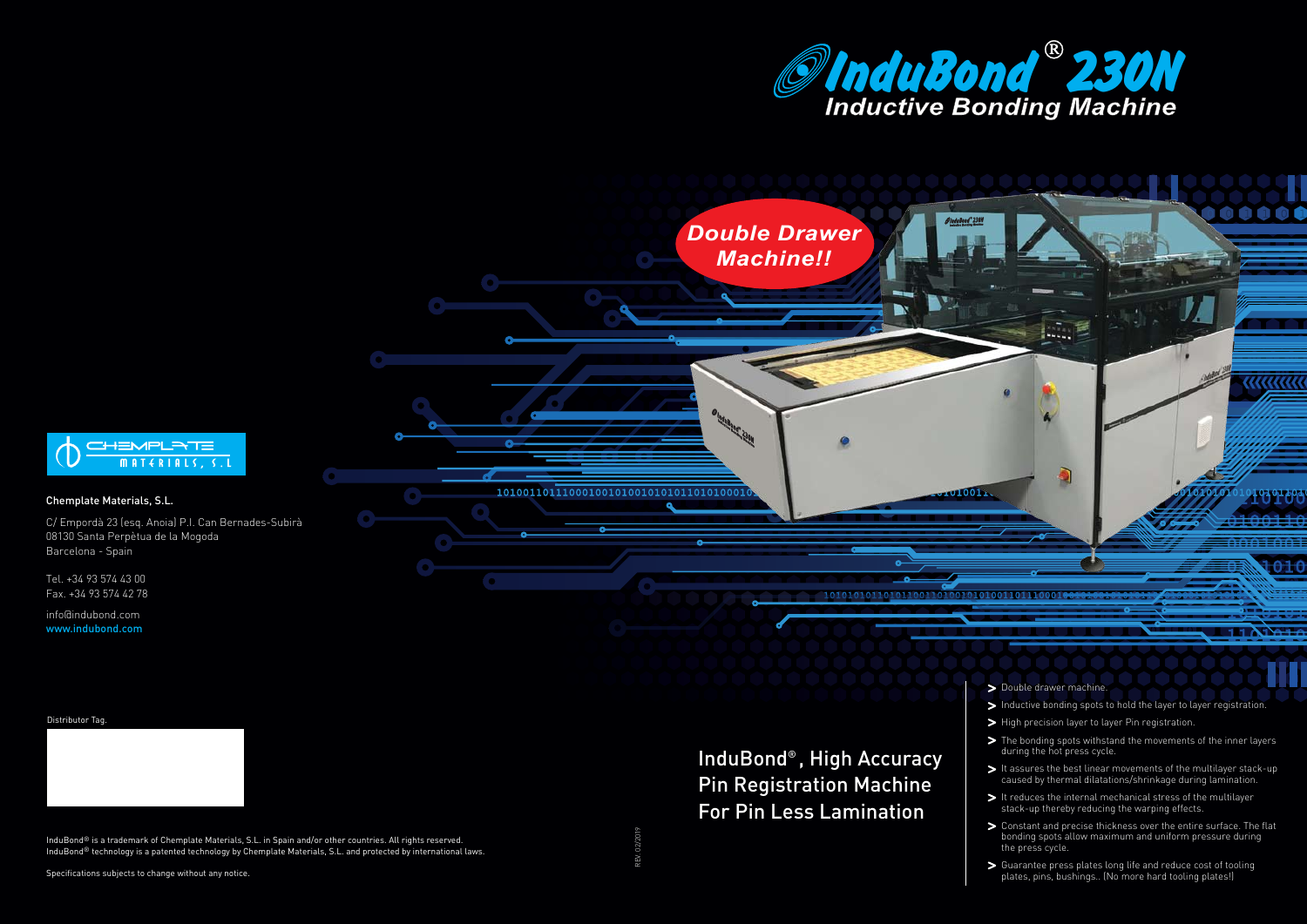

#### InduBond® , High Accuracy Pin Registration Machine For Pin Less Lamination



- $\blacktriangleright$  High precision layer to layer Pin registration.
- > The bonding spots withstand the movements of the inner layers during the hot press cycle.
- $\triangleright$  It assures the best linear movements of the multilayer stack-up caused by thermal dilatations/shrinkage during lamination.
- > It reduces the internal mechanical stress of the multilayer stack-up thereby reducing the warping effects.
- Constant and precise thickness over the entire surface. The flat bonding spots allow maximum and uniform pressure during the press cycle.
- Guarantee press plates long life and reduce cost of tooling plates, pins, bushings.. (No more hard tooling plates!)

InduBond® is a trademark of Chemplate Materials, S.L. in Spain and/or other countries. All rights reserved. InduBond<sup>®</sup> technology is a patented technology by Chemplate Materials, S.L. and protected by international laws.

Tel. +34 93 574 43 00 Fax. +34 93 574 42 78

info@indubond.com www.indubond.com



Specifications subjects to change without any notice.

#### Distributor Tag.